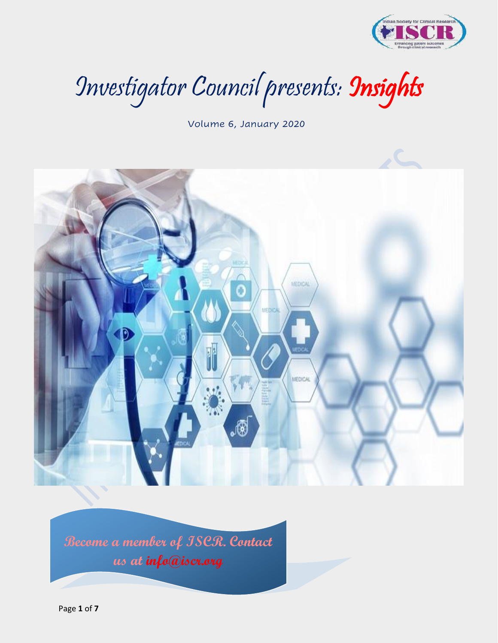

Investigator Council presents: Insights

Volume 6, January 2020



**Become a member of ISCR. Contact us at info@iscr.org**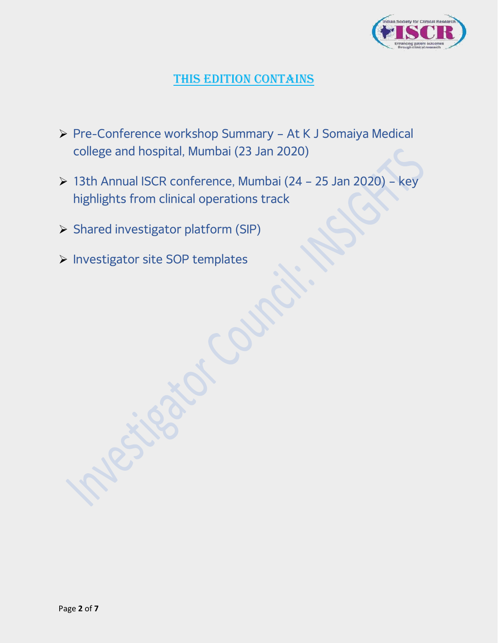

# THIS EDITION CONTAINS

- ➢ Pre-Conference workshop Summary At K J Somaiya Medical college and hospital, Mumbai (23 Jan 2020)
- ➢ 13th Annual ISCR conference, Mumbai (24 25 Jan 2020) key highlights from clinical operations track
- ➢ Shared investigator platform (SIP)
- ➢ Investigator site SOP templates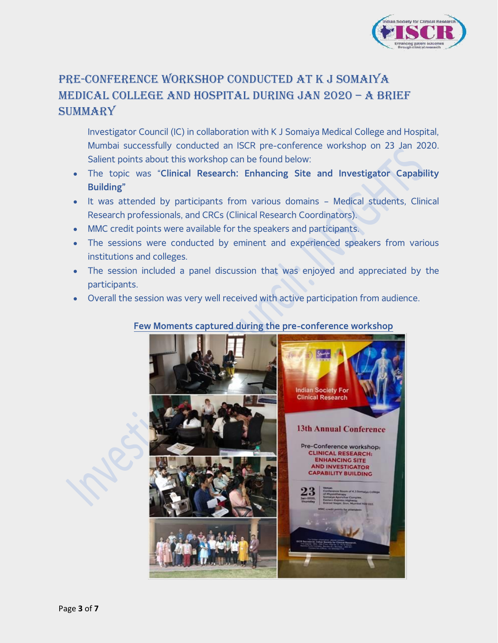

# Pre-Conference Workshop conducted at K J Somaiya Medical College and Hospital during Jan 2020 – A Brief **SUMMARY**

Investigator Council (IC) in collaboration with K J Somaiya Medical College and Hospital, Mumbai successfully conducted an ISCR pre-conference workshop on 23 Jan 2020. Salient points about this workshop can be found below:

- The topic was "**Clinical Research: Enhancing Site and Investigator Capability Building"**
- It was attended by participants from various domains Medical students, Clinical Research professionals, and CRCs (Clinical Research Coordinators).
- MMC credit points were available for the speakers and participants.
- The sessions were conducted by eminent and experienced speakers from various institutions and colleges.
- The session included a panel discussion that was enjoyed and appreciated by the participants.
- Overall the session was very well received with active participation from audience.

#### **Few Moments captured during the pre-conference workshop**

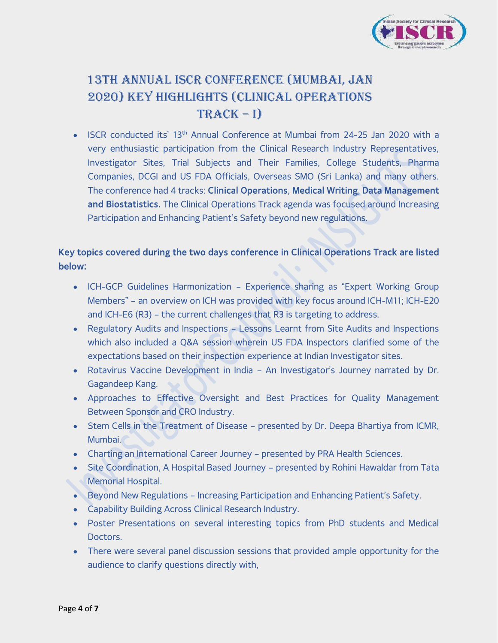

# 13th Annual ISCR Conference (Mumbai, Jan 2020) Key Highlights (Clinical Operations  $TRACK - I)$

**ISCR conducted its' 13<sup>th</sup> Annual Conference at Mumbai from 24-25 Jan 2020 with a** very enthusiastic participation from the Clinical Research Industry Representatives, Investigator Sites, Trial Subjects and Their Families, College Students, Pharma Companies, DCGI and US FDA Officials, Overseas SMO (Sri Lanka) and many others. The conference had 4 tracks: **Clinical Operations**, **Medical Writing**, **Data Management and Biostatistics.** The Clinical Operations Track agenda was focused around Increasing Participation and Enhancing Patient's Safety beyond new regulations.

#### **Key topics covered during the two days conference in Clinical Operations Track are listed below:**

- ICH-GCP Guidelines Harmonization Experience sharing as "Expert Working Group Members" – an overview on ICH was provided with key focus around ICH-M11; ICH-E20 and ICH-E6 (R3) – the current challenges that R3 is targeting to address.
- Regulatory Audits and Inspections Lessons Learnt from Site Audits and Inspections which also included a Q&A session wherein US FDA Inspectors clarified some of the expectations based on their inspection experience at Indian Investigator sites.
- Rotavirus Vaccine Development in India An Investigator's Journey narrated by Dr. Gagandeep Kang.
- Approaches to Effective Oversight and Best Practices for Quality Management Between Sponsor and CRO Industry.
- Stem Cells in the Treatment of Disease presented by Dr. Deepa Bhartiya from ICMR, Mumbai.
- Charting an International Career Journey presented by PRA Health Sciences.
- Site Coordination, A Hospital Based Journey presented by Rohini Hawaldar from Tata **Memorial Hospital.**
- Beyond New Regulations Increasing Participation and Enhancing Patient's Safety.
- Capability Building Across Clinical Research Industry.
- Poster Presentations on several interesting topics from PhD students and Medical Doctors.
- There were several panel discussion sessions that provided ample opportunity for the audience to clarify questions directly with,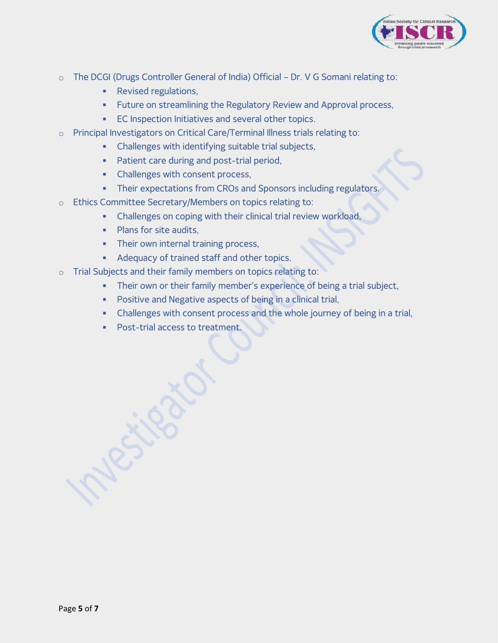

- o The DCGI (Drugs Controller General of India) Official Dr. V G Somani relating to:
	- Revised regulations,
	- **EXECT Future on streamlining the Regulatory Review and Approval process,**
	- **EC Inspection Initiatives and several other topics.**
- o Principal Investigators on Critical Care/Terminal Illness trials relating to:
	- Challenges with identifying suitable trial subjects,
	- **•** Patient care during and post-trial period,
	- **Challenges with consent process,**
	- **Their expectations from CROs and Sponsors including regulators.**
- o Ethics Committee Secretary/Members on topics relating to:
	- **EXEDENT Challenges on coping with their clinical trial review workload,**
	- **•** Plans for site audits,
	- **•** Their own internal training process,
	- Adequacy of trained staff and other topics.
- o Trial Subjects and their family members on topics relating to:
	- **•** Their own or their family member's experience of being a trial subject,
	- Positive and Negative aspects of being in a clinical trial,
	- **Challenges with consent process and the whole journey of being in a trial,**
	- Post-trial access to treatment.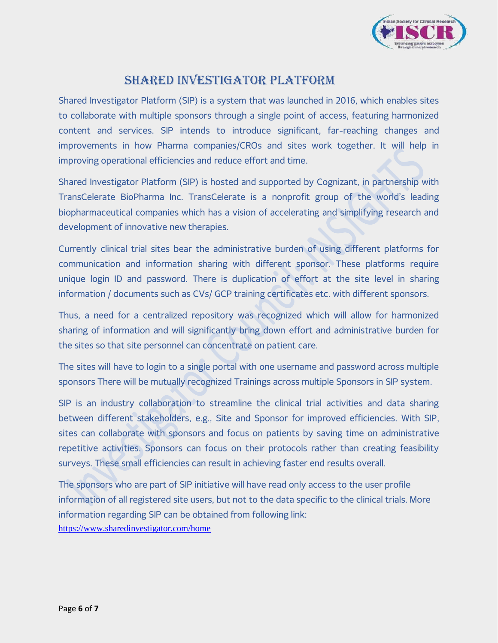

### Shared Investigator Platform

Shared Investigator Platform (SIP) is a system that was launched in 2016, which enables sites to collaborate with multiple sponsors through a single point of access, featuring harmonized content and services. SIP intends to introduce significant, far-reaching changes and improvements in how Pharma companies/CROs and sites work together. It will help in improving operational efficiencies and reduce effort and time.

Shared Investigator Platform (SIP) is hosted and supported by Cognizant, in partnership with TransCelerate BioPharma Inc. TransCelerate is a nonprofit group of the world's leading biopharmaceutical companies which has a vision of accelerating and simplifying research and development of innovative new therapies.

Currently clinical trial sites bear the administrative burden of using different platforms for communication and information sharing with different sponsor. These platforms require unique login ID and password. There is duplication of effort at the site level in sharing information / documents such as CVs/ GCP training certificates etc. with different sponsors.

Thus, a need for a centralized repository was recognized which will allow for harmonized sharing of information and will significantly bring down effort and administrative burden for the sites so that site personnel can concentrate on patient care.

The sites will have to login to a single portal with one username and password across multiple sponsors There will be mutually recognized Trainings across multiple Sponsors in SIP system.

SIP is an industry collaboration to streamline the clinical trial activities and data sharing between different stakeholders, e.g., Site and Sponsor for improved efficiencies. With SIP, sites can collaborate with sponsors and focus on patients by saving time on administrative repetitive activities. Sponsors can focus on their protocols rather than creating feasibility surveys. These small efficiencies can result in achieving faster end results overall.

The sponsors who are part of SIP initiative will have read only access to the user profile information of all registered site users, but not to the data specific to the clinical trials. More information regarding SIP can be obtained from following link: <https://www.sharedinvestigator.com/home>